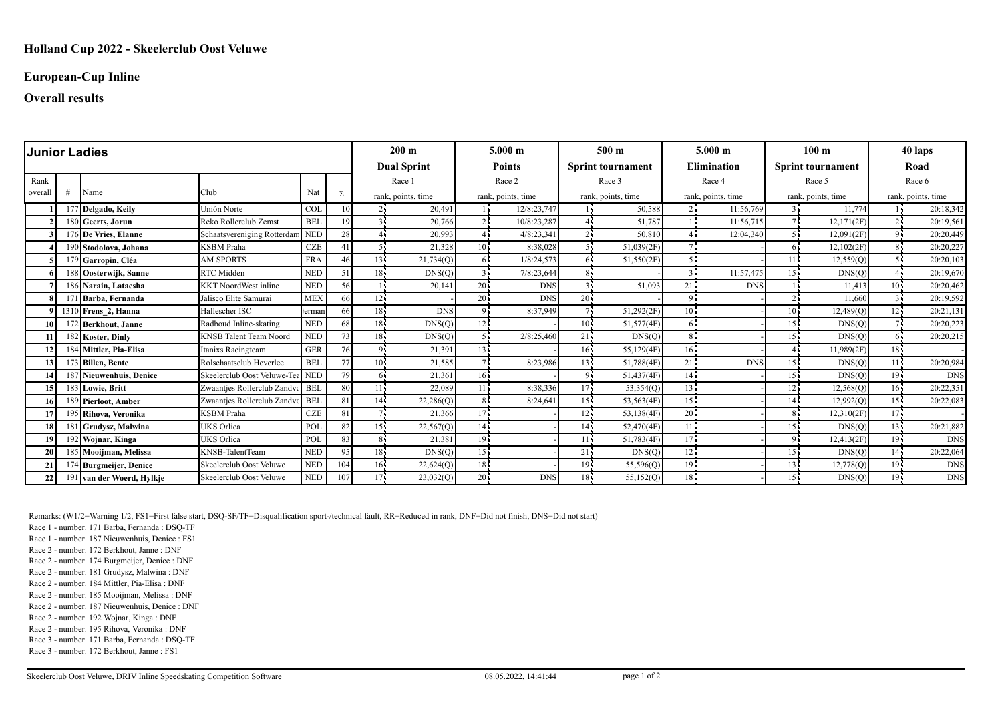### **European-Cup Inline**

### **Overall results**

| <b>Junior Ladies</b> |    |                           |                                 |            |     | $200 \text{ m}$    |                    | $5.000 \;{\rm m}$  |               | 500 <sub>m</sub>   |                          | $5.000 \;{\rm m}$  |                    | 100 <sub>m</sub>   |                          | 40 laps            |            |  |
|----------------------|----|---------------------------|---------------------------------|------------|-----|--------------------|--------------------|--------------------|---------------|--------------------|--------------------------|--------------------|--------------------|--------------------|--------------------------|--------------------|------------|--|
|                      |    |                           |                                 |            |     |                    | <b>Dual Sprint</b> |                    | <b>Points</b> |                    | <b>Sprint tournament</b> |                    | <b>Elimination</b> |                    | <b>Sprint tournament</b> |                    | Road       |  |
| Rank                 |    |                           |                                 |            |     |                    | Race 1             | Race 2             |               | Race 3             |                          | Race 4             |                    | Race 5             |                          | Race 6             |            |  |
| overal               |    | Name                      | Club                            | Nat        | Σ   | rank, points, time |                    | rank, points, time |               | rank, points, time |                          | rank, points, time |                    | rank, points, time |                          | rank, points, time |            |  |
|                      |    | 177 Delgado, Keily        | Unión Norte                     | <b>COI</b> | 10  |                    | 20.491             |                    | 12/8:23,747   |                    | 50,588                   |                    | 11:56,769          | 34                 | 11.774                   |                    | 20:18,342  |  |
|                      |    | 180 Geerts, Jorun         | Reko Rollerclub Zemst           | <b>BEL</b> | 19  |                    | 20,766             |                    | 10/8:23,287   |                    | 51,787                   |                    | 11:56,715          |                    | 12,171(2F)               |                    | 20:19,561  |  |
|                      |    | 176 De Vries, Elanne      | Schaatsvereniging Rotterdam NED |            | 28  |                    | 20,993             |                    | 4/8:23,341    |                    | 50,810                   |                    | 12:04,340          |                    | 12,091(2F)               |                    | 20:20,449  |  |
|                      |    | 190 Stodolova, Johana     | <b>KSBM</b> Praha               | <b>CZE</b> | 41  |                    | 21,328             | 10 <sup>1</sup>    | 8:38.028      |                    | 51,039(2F)               |                    |                    |                    | 12,102(2F)               |                    | 20:20,227  |  |
|                      |    | 179 Garropin, Cléa        | <b>AM SPORTS</b>                | FRA        | 46  | 13 -               | 21,734(Q)          | 65                 | 1/8:24,573    | 65                 | 51,550(2F)               |                    |                    | 11 <sub>1</sub>    | 12,559(Q)                |                    | 20:20,103  |  |
|                      |    | 188 Oosterwijk, Sanne     | RTC Midden                      | <b>NED</b> | 51  | 18.                | DNS(Q)             |                    | 7/8:23,644    |                    |                          |                    | 11:57,475          | 15 <sub>1</sub>    | DNS(Q)                   |                    | 20:19,670  |  |
|                      |    | 186 Narain, Lataesha      | <b>KKT</b> NoordWest inline     | <b>NED</b> | 56  |                    | 20,141             | 20                 | <b>DNS</b>    |                    | 51,093                   | 21                 | <b>DNS</b>         |                    | 11.413                   | $10 -$             | 20:20,462  |  |
|                      | 17 | 1 Barba, Fernanda         | Jalisco Elite Samurai           | <b>MEX</b> | 66  | $12 -$             |                    | $20^{\frac{1}{2}}$ | <b>DNS</b>    | $20 -$             |                          |                    |                    |                    | 11,660                   |                    | 20:19,592  |  |
|                      |    | 1310 Frens 2, Hanna       | Hallescher ISC                  | ierman     | 66  | 18.                | <b>DNS</b>         | 91                 | 8:37,949      |                    | 51,292(2F)               | $10 -$             |                    | 10 <sub>1</sub>    | 12,489(0)                | $12 -$             | 20:21,131  |  |
| 10 I                 |    | 172 Berkhout, Janne       | Radboud Inline-skating          | <b>NED</b> | 68  | 18.                | DNS(Q)             | 12 <sup>7</sup>    |               | $10 -$             | 51,577(4F)               |                    |                    | 15 <sub>1</sub>    | DNS(Q)                   |                    | 20:20,223  |  |
|                      |    | 182 Koster, Dinly         | <b>KNSB</b> Talent Team Noord   | <b>NED</b> | 73  | 181                | DNS(Q)             |                    | 2/8:25,460    | 21                 | DNS(Q)                   |                    |                    | 151                | DNS(Q)                   | 65                 | 20:20,215  |  |
| 12                   |    | 184 Mittler, Pia-Elisa    | Itanixs Racingteam              | <b>GER</b> | 76  | $\Omega$           | 21,391             | $13 -$             |               | $16 -$             | 55,129(4F)               | $16 -$             |                    |                    | 11,989(2F)               | $18 -$             |            |  |
| 13 <sup>1</sup>      |    | 173 Billen, Bente         | Rolschaatsclub Heverlee         | <b>BEI</b> | 77  | 101                | 21,585             |                    | 8:23.986      | $13 -$             | 51,788(4F)               | 21                 | <b>DNS</b>         | 15 <sup>1</sup>    | DNS(Q)                   | 114                | 20:20,984  |  |
|                      |    | 187 Nieuwenhuis, Denice   | Skeelerclub Oost Veluwe-Tea NED |            | 79  | 61                 | 21,361             | 16 <sup>1</sup>    |               | $Q_{\rm I}$        | 51,437(4F)               | $14 -$             |                    | $15 -$             | DNS(Q)                   | 19 <sup>1</sup>    | <b>DNS</b> |  |
| 151                  |    | 183 Lowie, Britt          | Zwaantjes Rollerclub Zandvc BEL |            | 80  | 11                 | 22,089             | 11 <sub>1</sub>    | 8:38,336      | $17 -$             | 53,354(Q)                | 13 <sub>1</sub>    |                    | 12.                | 12,568(Q)                | $16 -$             | 20:22,351  |  |
| 16                   |    | 189 Pierloot, Amber       | Zwaantjes Rollerclub Zandvc     | <b>BEL</b> | 81  | 14.                | 22,286(Q)          | 8                  | 8:24,641      | 15 <sub>1</sub>    | 53,563(4F)               | $15 -$             |                    | 14 <sub>1</sub>    | 12,992(Q)                | $15 -$             | 20:22,083  |  |
|                      |    | 195 Rihova, Veronika      | <b>KSBM</b> Praha               | CZE        | 81  |                    | 21,366             | 17 <sup>1</sup>    |               | 12 <sup>1</sup>    | 53,138(4F)               | $20 -$             |                    |                    | 12,310(2F)               | $17 -$             |            |  |
| 18                   |    | 1 Grudysz, Malwina        | UKS Orlica                      | POL        | 82  | 15.                | 22,567(Q)          | 14                 |               | $14 -$             | 52,470(4F)               | 11.5               |                    | 15.5               | DNS(Q)                   | $13 -$             | 20:21,882  |  |
| 19                   |    | 192 Wojnar, Kinga         | UKS Orlica                      | POL        | 83  | 81                 | 21,381             | 19.                |               | 11                 | 51,783(4F)               | $17 -$             |                    | о.                 | 12,413(2F)               | 19 <sup>7</sup>    | <b>DNS</b> |  |
| 20                   |    | 185 Mooijman, Melissa     | KNSB-TalentTeam                 | <b>NED</b> | 95  | 18.                | DNS(Q)             | 15 <sub>1</sub>    |               | 21                 | DNS(Q)                   | 12                 |                    | 15 <sub>1</sub>    | DNS(Q)                   | 14 <sup>7</sup>    | 20:22,064  |  |
| 21                   |    | 174 Burgmeijer, Denice    | Skeelerclub Oost Veluwe         | <b>NED</b> | 104 | 16.                | 22,624(Q)          | 18                 |               | $19 -$             | 55,596(Q)                | $19 -$             |                    | 13.5               | 12,778(Q)                | 19 <sub>1</sub>    | <b>DNS</b> |  |
| 22                   |    | 191 van der Woerd, Hylkje | Skeelerclub Oost Veluwe         | <b>NED</b> | 107 | 17.                | 23,032(Q)          | 20                 | <b>DNS</b>    | 18 <sub>1</sub>    | 55,152(Q)                | $18 -$             |                    | $15 -$             | DNS(Q)                   | $19 -$             | <b>DNS</b> |  |

Remarks: (W1/2=Warning 1/2, FS1=First false start, DSQ-SF/TF=Disqualification sport-/technical fault, RR=Reduced in rank, DNF=Did not finish, DNS=Did not start)

Race 1 - number. 171 Barba, Fernanda : DSQ-TF

Race 1 - number. 187 Nieuwenhuis, Denice : FS1

Race 2 - number. 172 Berkhout, Janne : DNF

Race 2 - number. 174 Burgmeijer, Denice : DNF

Race 2 - number. 181 Grudysz, Malwina : DNF

Race 2 - number. 184 Mittler, Pia-Elisa : DNF

Race 2 - number. 185 Mooijman, Melissa : DNF

Race 2 - number. 187 Nieuwenhuis, Denice : DNF

Race 2 - number. 192 Wojnar, Kinga : DNF

Race 2 - number. 195 Rihova, Veronika : DNF

Race 3 - number. 171 Barba, Fernanda : DSQ-TF

Race 3 - number. 172 Berkhout, Janne : FS1